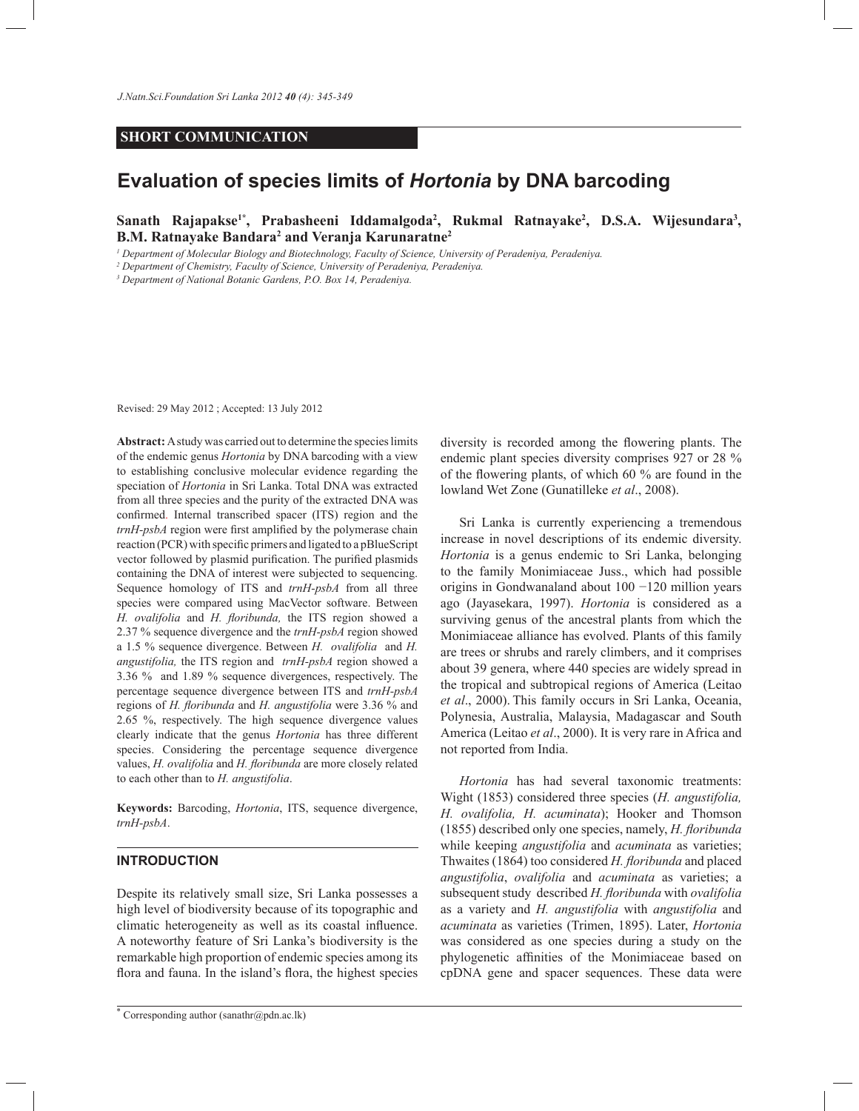### **SHORT COMMUNICATION**

# **Evaluation of species limits of** *Hortonia* **by DNA barcoding**

## **Sanath Rajapakse1\*, Prabasheeni Iddamalgoda<sup>2</sup> , Rukmal Ratnayake<sup>2</sup> , D.S.A. Wijesundara<sup>3</sup> , B.M. Ratnayake Bandara<sup>2</sup> and Veranja Karunaratne<sup>2</sup>**

*<sup>1</sup> Department of Molecular Biology and Biotechnology, Faculty of Science, University of Peradeniya, Peradeniya.*

*<sup>2</sup> Department of Chemistry, Faculty of Science, University of Peradeniya, Peradeniya.*

*3 Department of National Botanic Gardens, P.O. Box 14, Peradeniya.*

Revised: 29 May 2012 ; Accepted: 13 July 2012

**Abstract:** A study was carried out to determine the species limits of the endemic genus *Hortonia* by DNA barcoding with a view to establishing conclusive molecular evidence regarding the speciation of *Hortonia* in Sri Lanka. Total DNA was extracted from all three species and the purity of the extracted DNA was confirmed. Internal transcribed spacer (ITS) region and the *trnH-psbA* region were first amplified by the polymerase chain reaction (PCR) with specific primers and ligated to a pBlueScript vector followed by plasmid purification. The purified plasmids containing the DNA of interest were subjected to sequencing. Sequence homology of ITS and *trnH-psbA* from all three species were compared using MacVector software. Between *H. ovalifolia* and *H. floribunda,* the ITS region showed a 2.37 % sequence divergence and the *trnH-psbA* region showed a 1.5 % sequence divergence. Between *H. ovalifolia* and *H. angustifolia,* the ITS region and *trnH-psbA* region showed a 3.36 % and 1.89 % sequence divergences, respectively. The percentage sequence divergence between ITS and *trnH-psbA*  regions of *H. floribunda* and *H. angustifolia* were 3.36 % and 2.65 %, respectively. The high sequence divergence values clearly indicate that the genus *Hortonia* has three different species. Considering the percentage sequence divergence values, *H. ovalifolia* and *H. floribunda* are more closely related to each other than to *H. angustifolia*.

**Keywords:** Barcoding, *Hortonia*, ITS, sequence divergence, *trnH-psbA*.

#### **INTRODUCTION**

Despite its relatively small size, Sri Lanka possesses a high level of biodiversity because of its topographic and climatic heterogeneity as well as its coastal influence. A noteworthy feature of Sri Lanka's biodiversity is the remarkable high proportion of endemic species among its flora and fauna. In the island's flora, the highest species

diversity is recorded among the flowering plants. The endemic plant species diversity comprises 927 or 28 % of the flowering plants, of which 60 % are found in the lowland Wet Zone (Gunatilleke *et al*., 2008).

 Sri Lanka is currently experiencing a tremendous increase in novel descriptions of its endemic diversity. *Hortonia* is a genus endemic to Sri Lanka, belonging to the family Monimiaceae Juss., which had possible origins in Gondwanaland about 100 −120 million years ago (Jayasekara, 1997). *Hortonia* is considered as a surviving genus of the ancestral plants from which the Monimiaceae alliance has evolved. Plants of this family are trees or shrubs and rarely climbers, and it comprises about 39 genera, where 440 species are widely spread in the tropical and subtropical regions of America (Leitao *et al*., 2000). This family occurs in Sri Lanka, Oceania, Polynesia, Australia, Malaysia, Madagascar and South America (Leitao *et al*., 2000). It is very rare in Africa and not reported from India.

 *Hortonia* has had several taxonomic treatments: Wight (1853) considered three species (*H. angustifolia, H. ovalifolia, H. acuminata*); Hooker and Thomson (1855) described only one species, namely, *H. floribunda* while keeping *angustifolia* and *acuminata* as varieties; Thwaites (1864) too considered *H. floribunda* and placed *angustifolia*, *ovalifolia* and *acuminata* as varieties; a subsequent study described *H. floribunda* with *ovalifolia* as a variety and *H. angustifolia* with *angustifolia* and *acuminata* as varieties (Trimen, 1895). Later, *Hortonia* was considered as one species during a study on the phylogenetic affinities of the Monimiaceae based on cpDNA gene and spacer sequences. These data were

<sup>\*</sup> Corresponding author (sanathr@pdn.ac.lk)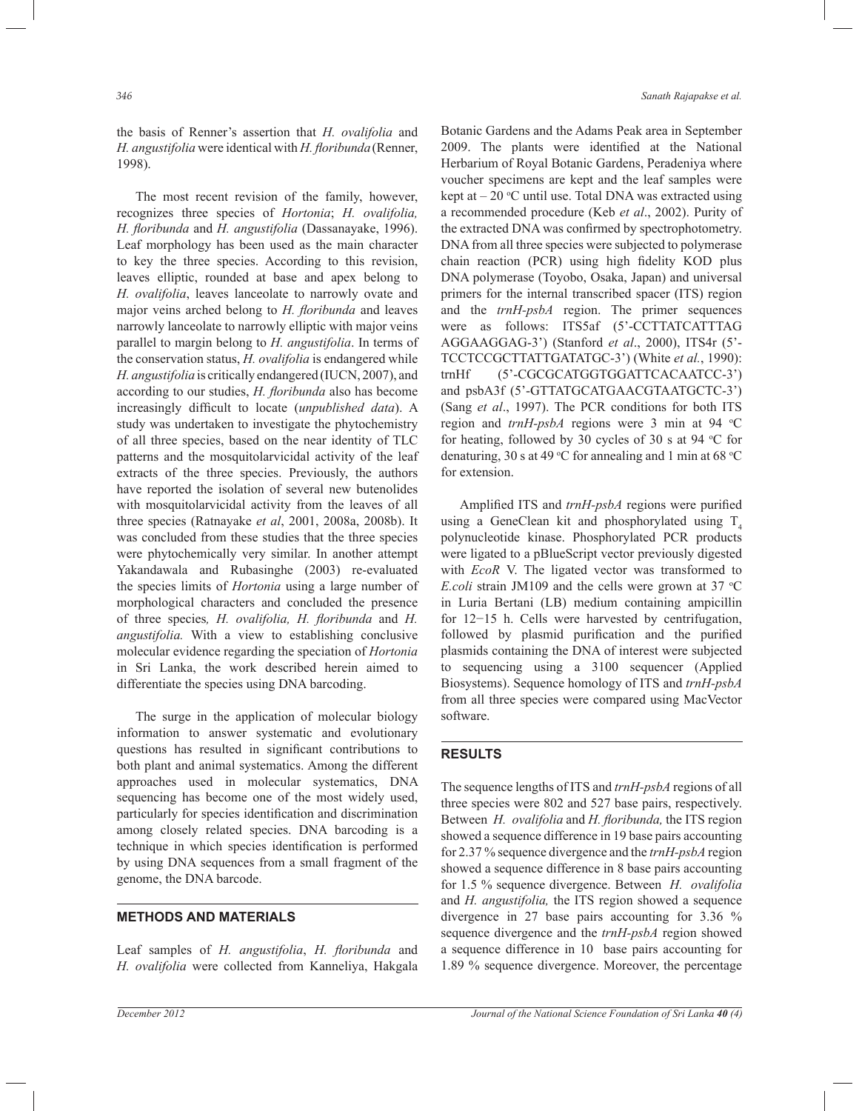the basis of Renner's assertion that *H. ovalifolia* and *H. angustifolia* were identical with *H. floribunda*(Renner, 1998).

 The most recent revision of the family, however, recognizes three species of *Hortonia*; *H. ovalifolia, H. floribunda* and *H. angustifolia* (Dassanayake, 1996). Leaf morphology has been used as the main character to key the three species. According to this revision, leaves elliptic, rounded at base and apex belong to *H. ovalifolia*, leaves lanceolate to narrowly ovate and major veins arched belong to *H. floribunda* and leaves narrowly lanceolate to narrowly elliptic with major veins parallel to margin belong to *H. angustifolia*. In terms of the conservation status, *H. ovalifolia* is endangered while *H. angustifolia* is critically endangered (IUCN, 2007), and according to our studies, *H. floribunda* also has become increasingly difficult to locate (*unpublished data*). A study was undertaken to investigate the phytochemistry of all three species, based on the near identity of TLC patterns and the mosquitolarvicidal activity of the leaf extracts of the three species. Previously, the authors have reported the isolation of several new butenolides with mosquitolarvicidal activity from the leaves of all three species (Ratnayake *et al*, 2001, 2008a, 2008b). It was concluded from these studies that the three species were phytochemically very similar. In another attempt Yakandawala and Rubasinghe (2003) re-evaluated the species limits of *Hortonia* using a large number of morphological characters and concluded the presence of three species*, H. ovalifolia, H. floribunda* and *H. angustifolia.* With a view to establishing conclusive molecular evidence regarding the speciation of *Hortonia* in Sri Lanka, the work described herein aimed to differentiate the species using DNA barcoding.

 The surge in the application of molecular biology information to answer systematic and evolutionary questions has resulted in significant contributions to both plant and animal systematics. Among the different approaches used in molecular systematics, DNA sequencing has become one of the most widely used, particularly for species identification and discrimination among closely related species. DNA barcoding is a technique in which species identification is performed by using DNA sequences from a small fragment of the genome, the DNA barcode.

## **METHODS AND MATERIALS**

Leaf samples of *H. angustifolia*, *H. floribunda* and *H. ovalifolia* were collected from Kanneliya, Hakgala

Botanic Gardens and the Adams Peak area in September 2009. The plants were identified at the National Herbarium of Royal Botanic Gardens, Peradeniya where voucher specimens are kept and the leaf samples were kept at  $-20$  °C until use. Total DNA was extracted using a recommended procedure (Keb *et al*., 2002). Purity of the extracted DNA was confirmed by spectrophotometry. DNA from all three species were subjected to polymerase chain reaction (PCR) using high fidelity KOD plus DNA polymerase (Toyobo, Osaka, Japan) and universal primers for the internal transcribed spacer (ITS) region and the *trnH-psbA* region. The primer sequences were as follows: ITS5af (5'-CCTTATCATTTAG AGGAAGGAG-3') (Stanford *et al*., 2000), ITS4r (5'- TCCTCCGCTTATTGATATGC-3') (White *et al.*, 1990): trnHf (5'-CGCGCATGGTGGATTCACAATCC-3') and psbA3f (5'-GTTATGCATGAACGTAATGCTC-3') (Sang *et al*., 1997). The PCR conditions for both ITS region and *trnH-psbA* regions were 3 min at 94 °C for heating, followed by 30 cycles of 30 s at 94  $\degree$ C for denaturing, 30 s at 49 °C for annealing and 1 min at 68 °C for extension.

 Amplified ITS and *trnH-psbA* regions were purified using a GeneClean kit and phosphorylated using  $T<sub>4</sub>$ polynucleotide kinase. Phosphorylated PCR products were ligated to a pBlueScript vector previously digested with *EcoR* V. The ligated vector was transformed to *E.coli* strain JM109 and the cells were grown at 37 °C in Luria Bertani (LB) medium containing ampicillin for 12−15 h. Cells were harvested by centrifugation, followed by plasmid purification and the purified plasmids containing the DNA of interest were subjected to sequencing using a 3100 sequencer (Applied Biosystems). Sequence homology of ITS and *trnH-psbA* from all three species were compared using MacVector software.

#### **RESULTS**

The sequence lengths of ITS and *trnH-psbA* regions of all three species were 802 and 527 base pairs, respectively. Between *H. ovalifolia* and *H. floribunda,* the ITS region showed a sequence difference in 19 base pairs accounting for 2.37 % sequence divergence and the *trnH-psbA* region showed a sequence difference in 8 base pairs accounting for 1.5 % sequence divergence. Between *H. ovalifolia*  and *H. angustifolia,* the ITS region showed a sequence divergence in 27 base pairs accounting for 3.36 % sequence divergence and the *trnH-psbA* region showed a sequence difference in 10 base pairs accounting for 1.89 % sequence divergence. Moreover, the percentage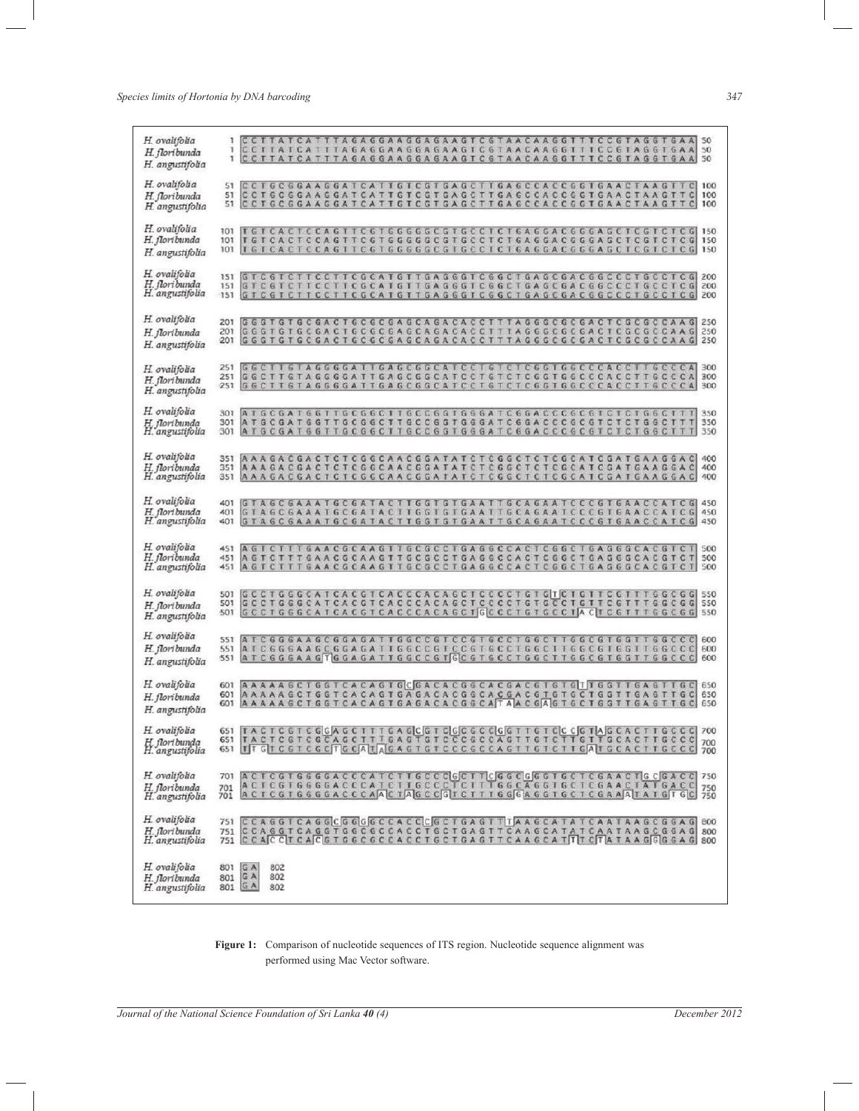*Species limits of Hortonia by DNA barcoding 347*

| H. ovalifolia<br>H. floribunda<br>H. angustifolia | CCTTATCATTTAGAGGAAGGAAGTCGTAACAAGGTTTCCGTAGGTGAA 50<br>CCTTATCATTTAGAGGAAGGAAGTCGTAACAAGGTTTCCGTAGGTGAA 50<br>1<br>CCTTATCATTTAGAGGAAGGAAGTCGTAACAAGGTTTCCGTAGGTGAA 50<br>1                                                                                                                                                                           |  |
|---------------------------------------------------|-------------------------------------------------------------------------------------------------------------------------------------------------------------------------------------------------------------------------------------------------------------------------------------------------------------------------------------------------------|--|
| H. ovalifolia<br>H. floribunda<br>H. angustifolia | CCTGCGGAAGGATCATTGTCGTGAGCTTGAGCCACCGGTGAACTAAGT<br>S1<br>100<br>$\mathbb{C}$<br>CCT6C6GAAGGATCATTGTCGTGAGCTTGA6CCACCGGTGAACTAAGTT<br>$\mathbf{C}$<br>100<br>ST.<br>CCTGCGGAAGGATCATTGTCGTGAGCTTGAGCCACCGGTGAACTAAGTTC<br>100<br>51                                                                                                                   |  |
| H. ovalifolia<br>H. floribunda<br>H. angustifolia | 101<br>T G T C A C T C C A G T T C G T G G G G C G T G C C T C T G A G G A A G G G A G C T C G T C T C T C G<br>150<br>G<br>150<br>101<br>101                                                                                                                                                                                                         |  |
| H. ovalifolia<br>H. floribunda<br>H. angustifolia | GTCGTCTTCCTTCGCATGTTGAGGGTCGGCTGAGCGACGGCCCTGCCTCG<br>151<br>200<br>GTCGTCTTCCTTCGCATGTTGAGGGTCGGCTGAGCGACGGCCCTGCCTCG<br>151<br>200<br>GTCGTCTTCCTTCGCATGTTGAGGGTCGGCTGAGCGACGGCCCTGCCTCG<br>200<br>151                                                                                                                                              |  |
| H. ovalifolia<br>H. floribunda<br>H. angustifolia | 201<br>G G G T G T G C G A C T G C G C G A G C A G A C A C C T T T A G G G C G C G A C T C G C G C C A A G 250<br>G G G T G T G C G A C T G C G C G A G C A G A C A C C T T T A G G G C G C G A C T C G C G C C A A G<br>250<br>201<br>G G G T G T G C G A C T G C G C G A G C A G A C A C C T T T A G G G C G C G A C T C G C G C C A A G 250<br>201 |  |
| H. ovalifolia<br>H. floribunda<br>H. angustifolia | G G C T T G T A G G G G A T T G A G C G G C A T C C T G T C T C G G T G G C C C A C C T T G C C C A<br>300<br>251<br>TTGTAGGGGATTGAGCGGCATCCT6TCTCGGTGGCCCACC<br>300<br>251<br>GGC<br>TTGCCC<br>A<br><b>GTAGGGGATTGAGCGGCATCC</b><br>TGTC<br><b>TCGGTGGCCCACC</b><br>300<br>251<br>G G C<br>TGCCCA<br>Ŧ<br>т                                          |  |
| H. ovalifolia<br>H. floribunda<br>H. angustifolia | ATGCGATGGTTGCGGCTTGCCGGTGGGATCGGACCCGCGTCTCTGGCTTT<br>350<br>301<br>ATGCGATGGTTGCGGCTTGCCGGTGGGATCGGACCCGCGTCTC<br>301<br>TGGCTTT<br>350<br>ATGCGATGGTTGCGGCTTGCCGGTGGGATCGGACCCGCGTCT<br>C.<br>TGGCTTT<br>301<br>350                                                                                                                                 |  |
| H. ovalifolia<br>H. floribunda<br>H. angustifolia | AAAGACGACTCTCGGCAACGGATATCTCGGCTCTCGCATCGATGAAGGA<br> c <br>400<br>351<br>AAAGACGACTCTCGGCAACGGATATCTCGGCTCTCGCATCGATGAAGGAC<br>351<br>400<br>AAAGACGACTCTCGGCAACGGATATCTCGGCTCTCGCATCGATGAAGGAC<br>400<br>351                                                                                                                                        |  |
| H. ovalifolia<br>H. floribunda<br>H. angustifolia | GTAGCGAAATGCGATACTTGGTGTGAATTGCAGAATCCCGTGAACCATCG  450<br>401<br>GTAGCGAAATGCGATACTTGGTGTGAATTGCAGAATCCCGTGAACCATC<br>401<br>G<br>450<br>401<br>GTAGCGAAATGCGATACTTGGTGTGAATTGCAGAATCCCGTGAACCATCG<br>450                                                                                                                                            |  |
| H. ovalifolia<br>H. floribunda<br>H. angustifolia | AGICITIGAACGCAAGITGCGCCTGAGGCCACTCGGCTGAGGGCACGTCT<br>500<br>451<br>TCTTTGAACGCAAGTTGCGCCTGAGGCCACTCGGCTGAGGGCACGTC<br>500<br>451<br>A G<br>$\top$<br>TGAACGCAAGTTGCGCCTGAGGCCACTCGGCTGAGGGCACGTCT<br>AGTCT<br>500<br>451<br>τ                                                                                                                        |  |
| H. ovalifolia<br>H. floribunda<br>H. angustifolia | GCCTGGGCATCACGTCACCCACAGCTCCCCTGTGTCTGTTCGTTTGGCGG 550<br>501<br>G C C T G G G C A T C A C G T C A C C C A C A G C T C C C C T G T G C C T G T T C G T T T G G C G G S50<br>501<br>GCCTG6GCATCACGTCACCCACAGCTGCCCTGTGCCTACTCGTTTGGCGG 550<br>501                                                                                                      |  |
| H. ovalifolia<br>H. floribunda<br>H. angustifolia | 551<br>ATCGGGAAGCGGAGATTGGCCGTCCGTGCCTGGCTTGGCGTGGTTGGCCC<br>600<br>ATCGGGAAGCGGAGATTGGCCGTCCGTGCCTGGCTTGGCGTGGTTGGCCC<br>600<br>551<br>600<br>551                                                                                                                                                                                                    |  |
| H. ovalifolia<br>H. floribunda<br>H. angustifolia | 601<br>650<br>AAAAAGCTGGTCACAGTGAGACACGGCACGACGTGTGCTGGTTGAGTTG<br>$\mathbb{C}$<br>650<br>601<br>601 A A A A A G C T G G T C A C A G T G A G A C A C G G C A T A A C G A G T G C T G G T T G A G T T G C 650                                                                                                                                          |  |
| H. ovalifolia<br>H. floribunda<br>H. angustifolia | TACTCGTCGGAGCTTTGAGCGTCGCGCCGGTTGTCCCGTAGCACTTGCCC<br>651<br>700<br>TACTCGTCGCAGCTTIGAGTGTCCCGCCAGTTGTCTTGTTGCACTTGCCC<br>651<br>700<br>651 ITGTCGTCGCTGCALAGAGTGTCCCGCCAGTTGTCTTGATGCACTTGCCC<br>700                                                                                                                                                 |  |
| H. ovalifolia<br>H. floribunda<br>H. angustifolia | 701 A C T C G T G G G G A C C C A T C T T G C C C C C T T C G G C C G G G T G C T C G A A C T <mark>G C G A C C</mark> 750<br>701 A C T C G T G G G G A C C C A T C T T G C C C T C T T T G G C A G G T G C T C G A A C T A T G A C C 750<br>70<br>701                                                                                                |  |
| H. ovalifolia<br>H. floribunda<br>H. angustifolia | CCAGGTCAGGCGGGGCCACCCGCTGAGTTTAAGCATATCAATAAGCGAG<br>751<br>800<br>CCAGGTCAGGTGGCGCCACCTGCTGAGTTCAAGCATATCAATAAGCGGAG 800<br>751<br>751   C.C. A.C. C. T. C. A. C. G. T. G. G. C. C. C. A. C. C. T. G. G. G. G. G. C. A. T. T. T. T. T. T. A. A. G. G. G. G. A. G. 800                                                                                |  |
| H. ovalifolia<br>H. floribunda<br>H. angustifolia | 801<br>GA<br>802<br>GA<br>802<br>801<br>GA<br>802<br>801                                                                                                                                                                                                                                                                                              |  |

**Figure 1:** Comparison of nucleotide sequences of ITS region. Nucleotide sequence alignment was performed using Mac Vector software.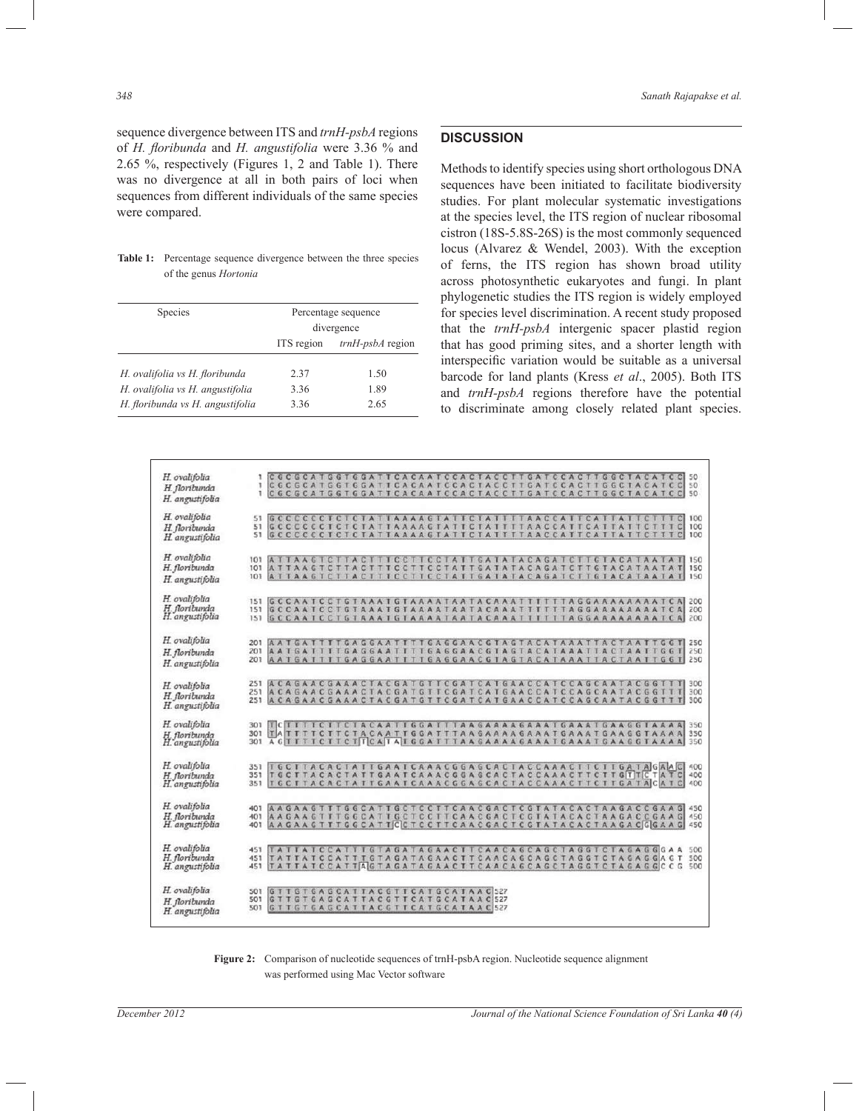sequence divergence between ITS and *trnH-psbA* regions of *H. floribunda* and *H. angustifolia* were 3.36 % and 2.65 %, respectively (Figures 1, 2 and Table 1). There was no divergence at all in both pairs of loci when sequences from different individuals of the same species were compared.

#### **Table 1:** Percentage sequence divergence between the three species of the genus *Hortonia*

| <b>Species</b>                   | Percentage sequence |                    |
|----------------------------------|---------------------|--------------------|
|                                  | divergence          |                    |
|                                  | ITS region          | $trnH-psbA$ region |
|                                  |                     |                    |
| H. ovalifolia vs H. floribunda   | 2.37                | 1.50               |
| H. ovalifolia vs H. angustifolia | 3.36                | 1.89               |
| H. floribunda vs H. angustifolia | 3.36                | 2.65               |

## **DISCUSSION**

Methods to identify species using short orthologous DNA sequences have been initiated to facilitate biodiversity studies. For plant molecular systematic investigations at the species level, the ITS region of nuclear ribosomal cistron (18S-5.8S-26S) is the most commonly sequenced locus (Alvarez & Wendel, 2003). With the exception of ferns, the ITS region has shown broad utility across photosynthetic eukaryotes and fungi. In plant phylogenetic studies the ITS region is widely employed for species level discrimination. A recent study proposed that the *trnH-psbA* intergenic spacer plastid region that has good priming sites, and a shorter length with interspecific variation would be suitable as a universal barcode for land plants (Kress *et al*., 2005). Both ITS and *trnH-psbA* regions therefore have the potential to discriminate among closely related plant species.

| H. ovalifolia<br>H. floribunda<br>H. angustifolia | CCCCCATGGTGGATTCACAATCCACTACCTTGATCCACTTGGCTACATCC 50<br>C 6 C 6 C A T 6 G T 6 G A T T C A C A A T C C A C T T A C C T T G A T C C A C T T G 6 C T A C A T C C<br>50<br>ı<br>CGCGCATGGTGGATTCACAATCCACTACCTTGATCCACTTGGCTACATCC<br>1<br>50                |  |
|---------------------------------------------------|-----------------------------------------------------------------------------------------------------------------------------------------------------------------------------------------------------------------------------------------------------------|--|
| H. ovalifolia<br>H. floribunda<br>H. angustifolia | 51<br><b>GCCCCCCTCT</b><br>CTATTAAAAGTAT<br>CIA<br>AACC<br>A T<br>100<br>т<br>÷.<br><b>TCA</b><br>51<br>GCCCCCCTCTCTATTAAAAGTATTCTATTTTAACCATTCAT<br><b>TAT</b><br>$\mathbb{C}$<br>100<br>.c.<br>100<br>51                                                |  |
| H. ovalifolia<br>H. floribunda<br>H. angustifolia | TTAAGTCTTACTTTCCTTCCTATTGATATACAGATCTTGTACATAATA<br>101<br>150<br>TTAC<br>TTTCC<br>TTCCTATTGATATACAGATCTTGTACATAATA<br>150<br>101<br>ATTAAGTC<br>T<br>ATTAAGTCTTACTTTCCTTCCTATTGATATACAGATCTTGTACATAATAT<br>150<br>101                                    |  |
| H. ovalifolia<br>H. floribunda<br>H. angustifolia | 200<br>151<br>GCCAAICCTGTAAAIGTAAAATAATACAAATTTTTTAGGAAAAAAATC<br>151<br>200<br>GCCAATCCTGTAAATGTAAAATAATACAAATTTTTTAGGAAAAAAATCA<br>200<br>151                                                                                                           |  |
| H. ovalifolia<br>H. floribunda<br>H. angustifolia | AATGATTITGAGGAATTTTGAGGAACGTAGTACATAAATTAC<br>250<br>201<br>TAATTGGT<br>AATGAITTIGAGGAATTTIGAGGAACGTAGTACATAAATTACTAATTGGT<br>201<br>250<br>AATGAITTTGAGGAATTTTGAGGAACGTAGTACATAAATTACTAATTGGT<br>250<br>201                                              |  |
| H. ovalifolia<br>H. floribunda<br>H. angustifolia | ACAGAACGAAACTACGATGTTCGATCATGAACCATCCAGCAATACGGTT<br>300<br>251<br>A CA GA A C GA A A C T A C GA T G T T C GA T C A T G A A C C A T C C A G C A A T A C G G T T<br>300<br>251<br>ACAGAACGAAACTACGATGTTCGATCATGAACCATCCAGCAATACGGTTT<br>300<br>251         |  |
| H. ovalifolia<br>H. floribunda<br>H. angustifolia | TCTTTTCTTCTACAATTGGATTTAAGAAAAGAAATGAAATGAAGGIAAAA<br>301<br>350<br>TATTTTCTTCTACAATTGGATTTAAGAAAAGAAATGAAATGAAGGTAAAA 350<br>301<br>301<br>350                                                                                                           |  |
| H. ovalifolia<br>H. floribunda<br>H. angustifolia | TGCTTACACTATTGAATCAAACGGAGCACTACCAAACTTCTTGATAGAAC<br>400<br>351<br>TGCTTACACTATTGAATCAAACGGAGCACTACCAAACTTCTTGTTCTATC<br>400<br>351<br>T G C T T A C A C T A T T G A A T C A A A C G G A G C A C T A C C A A A C T T C T T G A T A C A T C<br>400<br>351 |  |
| H. ovalifolia<br>H. floribunda<br>H. angustifolia | AAGAAGTTTGGCATTGCTCCTTCAACGACTCGTATACACTAAGACCGAAG 450<br>401<br>TTGGCATTGCTCCTTCAACGACTCGTATACACTAAGACCGAAG<br>AAGAAG<br>450<br>401<br>AAGAAGTTTGGCATTCCTCCTTCAACGACTCGTATACACTAAGACGGAAG<br>401<br>450                                                  |  |
| H. ovalifolia<br>H. floribunda<br>H. angustifolia | TATTATCCATTTGTAGATAGAACTTCAACAGCAGCTAGGTCTAGAGGGAA<br>451<br>500<br>TATTATCCATTIGTAGATAGAACTTCAACAGCAGCTAGGTCTAGAGGAGT<br>500<br>451<br>TATTATCCATTAGTAGATAGAACTTCAACAGCAGCTAGGTCTAGAGGCCG<br>500<br>451                                                  |  |
| H. ovalifolia<br>H. floribunda<br>H. angustifolia | GTTGTGAGCATTACGTTCATGCATAAC527<br>501<br>GTTGTGAGCATTACGTTCATGCATAAC527<br>501<br>GTTGTGAGCATTACGTTCATGCATAACS27<br>501                                                                                                                                   |  |

**Figure 2:** Comparison of nucleotide sequences of trnH-psbA region. Nucleotide sequence alignment was performed using Mac Vector software